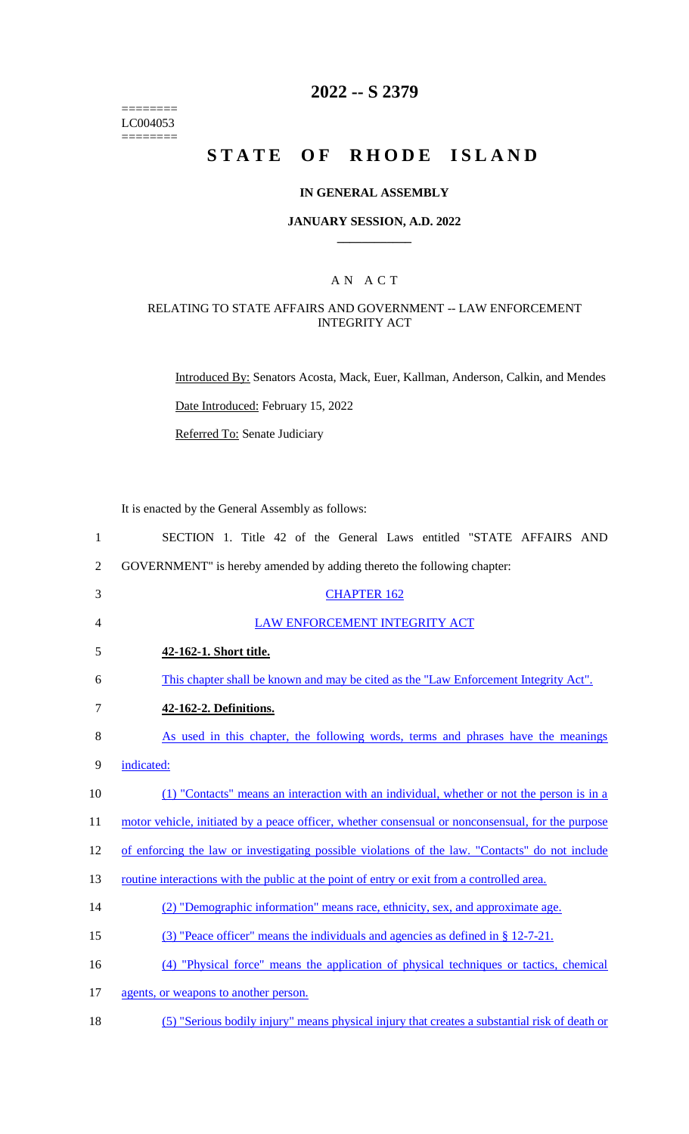======== LC004053 ========

# **2022 -- S 2379**

# **STATE OF RHODE ISLAND**

#### **IN GENERAL ASSEMBLY**

#### **JANUARY SESSION, A.D. 2022 \_\_\_\_\_\_\_\_\_\_\_\_**

### A N A C T

### RELATING TO STATE AFFAIRS AND GOVERNMENT -- LAW ENFORCEMENT INTEGRITY ACT

Introduced By: Senators Acosta, Mack, Euer, Kallman, Anderson, Calkin, and Mendes

Date Introduced: February 15, 2022

Referred To: Senate Judiciary

It is enacted by the General Assembly as follows:

| $\mathbf{1}$   | SECTION 1. Title 42 of the General Laws entitled "STATE AFFAIRS AND                               |
|----------------|---------------------------------------------------------------------------------------------------|
| $\overline{2}$ | GOVERNMENT" is hereby amended by adding thereto the following chapter:                            |
| 3              | <b>CHAPTER 162</b>                                                                                |
| 4              | LAW ENFORCEMENT INTEGRITY ACT                                                                     |
| 5              | 42-162-1. Short title.                                                                            |
| 6              | This chapter shall be known and may be cited as the "Law Enforcement Integrity Act".              |
| 7              | 42-162-2. Definitions.                                                                            |
| 8              | As used in this chapter, the following words, terms and phrases have the meanings                 |
| 9              | indicated:                                                                                        |
| 10             | (1) "Contacts" means an interaction with an individual, whether or not the person is in a         |
| 11             | motor vehicle, initiated by a peace officer, whether consensual or nonconsensual, for the purpose |
| 12             | of enforcing the law or investigating possible violations of the law. "Contacts" do not include   |
| 13             | routine interactions with the public at the point of entry or exit from a controlled area.        |
| 14             | (2) "Demographic information" means race, ethnicity, sex, and approximate age.                    |
| 15             | (3) "Peace officer" means the individuals and agencies as defined in $\S 12-7-21$ .               |
| 16             | (4) "Physical force" means the application of physical techniques or tactics, chemical            |
| 17             | agents, or weapons to another person.                                                             |
| 18             | (5) "Serious bodily injury" means physical injury that creates a substantial risk of death or     |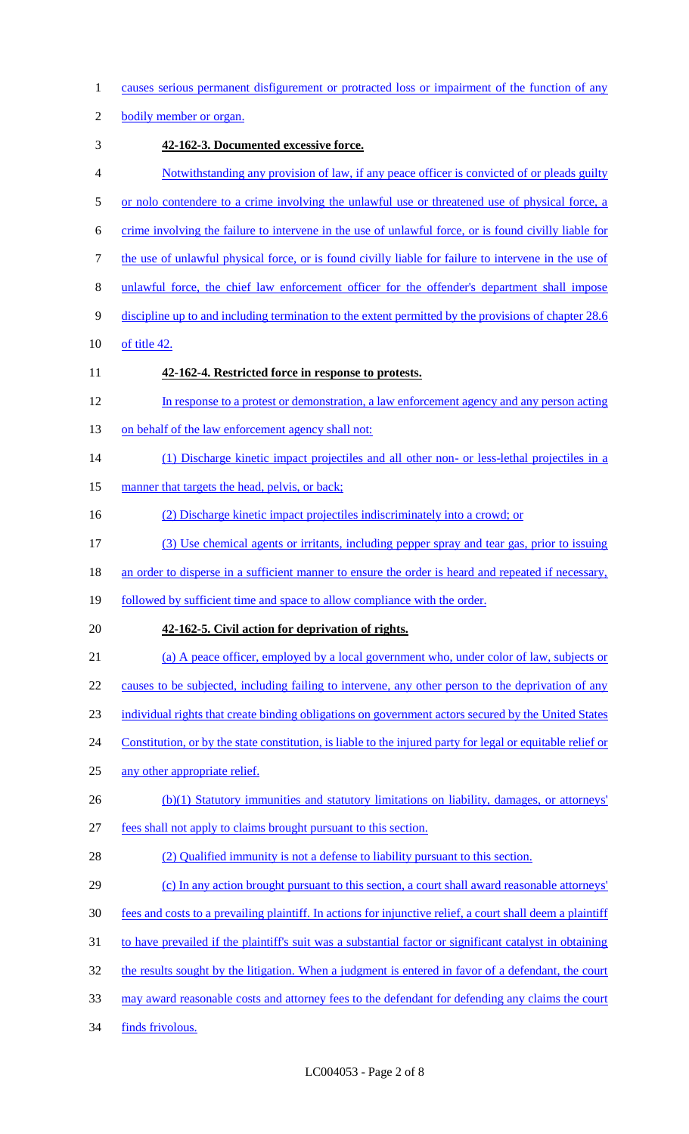causes serious permanent disfigurement or protracted loss or impairment of the function of any 2 bodily member or organ. **42-162-3. Documented excessive force.**  Notwithstanding any provision of law, if any peace officer is convicted of or pleads guilty 5 or nolo contendere to a crime involving the unlawful use or threatened use of physical force, a crime involving the failure to intervene in the use of unlawful force, or is found civilly liable for the use of unlawful physical force, or is found civilly liable for failure to intervene in the use of unlawful force, the chief law enforcement officer for the offender's department shall impose discipline up to and including termination to the extent permitted by the provisions of chapter 28.6 of title 42. **42-162-4. Restricted force in response to protests.**  In response to a protest or demonstration, a law enforcement agency and any person acting 13 on behalf of the law enforcement agency shall not: (1) Discharge kinetic impact projectiles and all other non- or less-lethal projectiles in a 15 manner that targets the head, pelvis, or back; (2) Discharge kinetic impact projectiles indiscriminately into a crowd; or (3) Use chemical agents or irritants, including pepper spray and tear gas, prior to issuing 18 an order to disperse in a sufficient manner to ensure the order is heard and repeated if necessary, 19 followed by sufficient time and space to allow compliance with the order. **42-162-5. Civil action for deprivation of rights.**  (a) A peace officer, employed by a local government who, under color of law, subjects or 22 causes to be subjected, including failing to intervene, any other person to the deprivation of any individual rights that create binding obligations on government actors secured by the United States 24 Constitution, or by the state constitution, is liable to the injured party for legal or equitable relief or any other appropriate relief. 26 (b)(1) Statutory immunities and statutory limitations on liability, damages, or attorneys' fees shall not apply to claims brought pursuant to this section. (2) Qualified immunity is not a defense to liability pursuant to this section. (c) In any action brought pursuant to this section, a court shall award reasonable attorneys' fees and costs to a prevailing plaintiff. In actions for injunctive relief, a court shall deem a plaintiff to have prevailed if the plaintiff's suit was a substantial factor or significant catalyst in obtaining 32 the results sought by the litigation. When a judgment is entered in favor of a defendant, the court may award reasonable costs and attorney fees to the defendant for defending any claims the court 34 finds frivolous.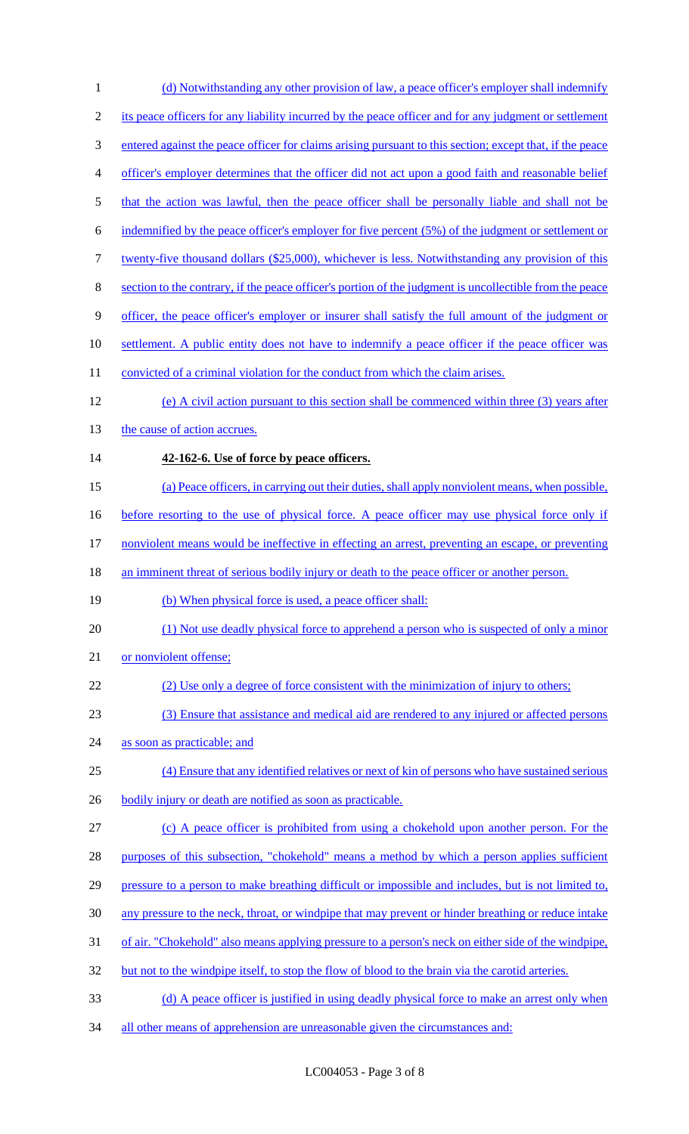1 (d) Notwithstanding any other provision of law, a peace officer's employer shall indemnify its peace officers for any liability incurred by the peace officer and for any judgment or settlement entered against the peace officer for claims arising pursuant to this section; except that, if the peace officer's employer determines that the officer did not act upon a good faith and reasonable belief 5 that the action was lawful, then the peace officer shall be personally liable and shall not be indemnified by the peace officer's employer for five percent (5%) of the judgment or settlement or twenty-five thousand dollars (\$25,000), whichever is less. Notwithstanding any provision of this section to the contrary, if the peace officer's portion of the judgment is uncollectible from the peace officer, the peace officer's employer or insurer shall satisfy the full amount of the judgment or settlement. A public entity does not have to indemnify a peace officer if the peace officer was 11 convicted of a criminal violation for the conduct from which the claim arises. (e) A civil action pursuant to this section shall be commenced within three (3) years after 13 the cause of action accrues. **42-162-6. Use of force by peace officers.**  (a) Peace officers, in carrying out their duties, shall apply nonviolent means, when possible, 16 before resorting to the use of physical force. A peace officer may use physical force only if nonviolent means would be ineffective in effecting an arrest, preventing an escape, or preventing 18 an imminent threat of serious bodily injury or death to the peace officer or another person. (b) When physical force is used, a peace officer shall: (1) Not use deadly physical force to apprehend a person who is suspected of only a minor 21 or nonviolent offense; (2) Use only a degree of force consistent with the minimization of injury to others; (3) Ensure that assistance and medical aid are rendered to any injured or affected persons as soon as practicable; and (4) Ensure that any identified relatives or next of kin of persons who have sustained serious 26 bodily injury or death are notified as soon as practicable. (c) A peace officer is prohibited from using a chokehold upon another person. For the 28 purposes of this subsection, "chokehold" means a method by which a person applies sufficient pressure to a person to make breathing difficult or impossible and includes, but is not limited to, any pressure to the neck, throat, or windpipe that may prevent or hinder breathing or reduce intake of air. "Chokehold" also means applying pressure to a person's neck on either side of the windpipe, 32 but not to the windpipe itself, to stop the flow of blood to the brain via the carotid arteries. 33 (d) A peace officer is justified in using deadly physical force to make an arrest only when 34 all other means of apprehension are unreasonable given the circumstances and: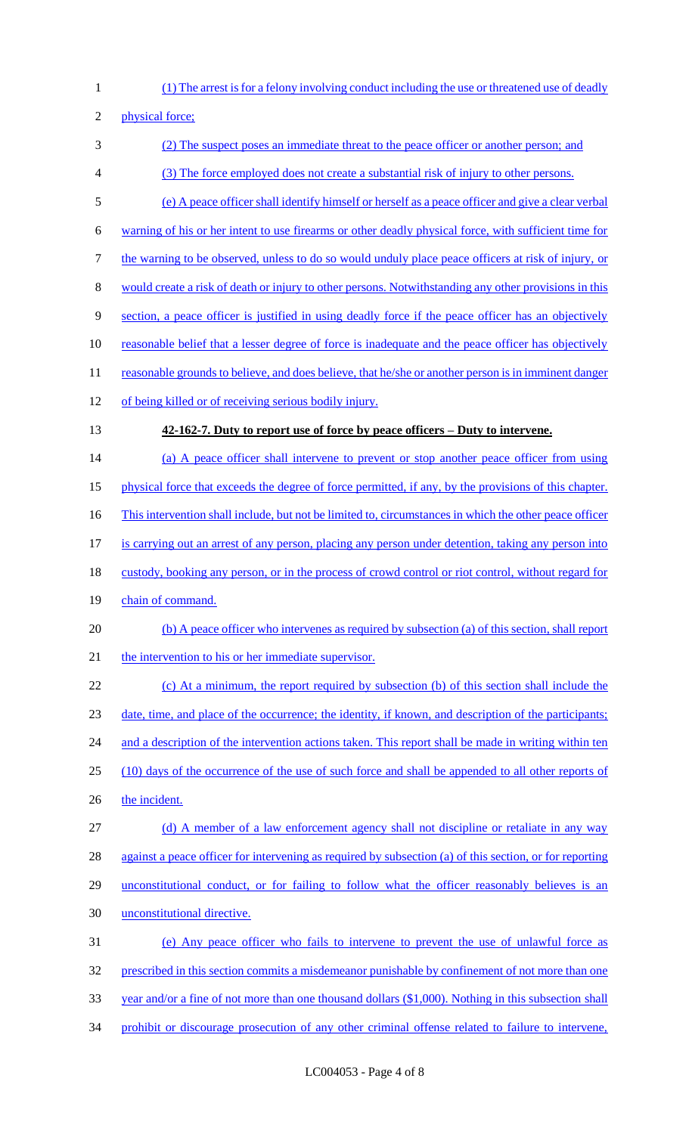1 (1) The arrest is for a felony involving conduct including the use or threatened use of deadly

2 physical force;

3 (2) The suspect poses an immediate threat to the peace officer or another person; and 4 (3) The force employed does not create a substantial risk of injury to other persons. 5 (e) A peace officer shall identify himself or herself as a peace officer and give a clear verbal 6 warning of his or her intent to use firearms or other deadly physical force, with sufficient time for 7 the warning to be observed, unless to do so would unduly place peace officers at risk of injury, or 8 would create a risk of death or injury to other persons. Notwithstanding any other provisions in this 9 section, a peace officer is justified in using deadly force if the peace officer has an objectively 10 reasonable belief that a lesser degree of force is inadequate and the peace officer has objectively 11 reasonable grounds to believe, and does believe, that he/she or another person is in imminent danger 12 of being killed or of receiving serious bodily injury. 13 **42-162-7. Duty to report use of force by peace officers – Duty to intervene.**  14 (a) A peace officer shall intervene to prevent or stop another peace officer from using 15 physical force that exceeds the degree of force permitted, if any, by the provisions of this chapter. 16 This intervention shall include, but not be limited to, circumstances in which the other peace officer 17 is carrying out an arrest of any person, placing any person under detention, taking any person into 18 custody, booking any person, or in the process of crowd control or riot control, without regard for 19 chain of command. 20 (b) A peace officer who intervenes as required by subsection (a) of this section, shall report 21 the intervention to his or her immediate supervisor. 22 (c) At a minimum, the report required by subsection (b) of this section shall include the 23 date, time, and place of the occurrence; the identity, if known, and description of the participants; 24 and a description of the intervention actions taken. This report shall be made in writing within ten 25 (10) days of the occurrence of the use of such force and shall be appended to all other reports of 26 the incident. 27 (d) A member of a law enforcement agency shall not discipline or retaliate in any way 28 against a peace officer for intervening as required by subsection (a) of this section, or for reporting 29 unconstitutional conduct, or for failing to follow what the officer reasonably believes is an 30 unconstitutional directive. 31 (e) Any peace officer who fails to intervene to prevent the use of unlawful force as 32 prescribed in this section commits a misdemeanor punishable by confinement of not more than one 33 year and/or a fine of not more than one thousand dollars (\$1,000). Nothing in this subsection shall 34 prohibit or discourage prosecution of any other criminal offense related to failure to intervene,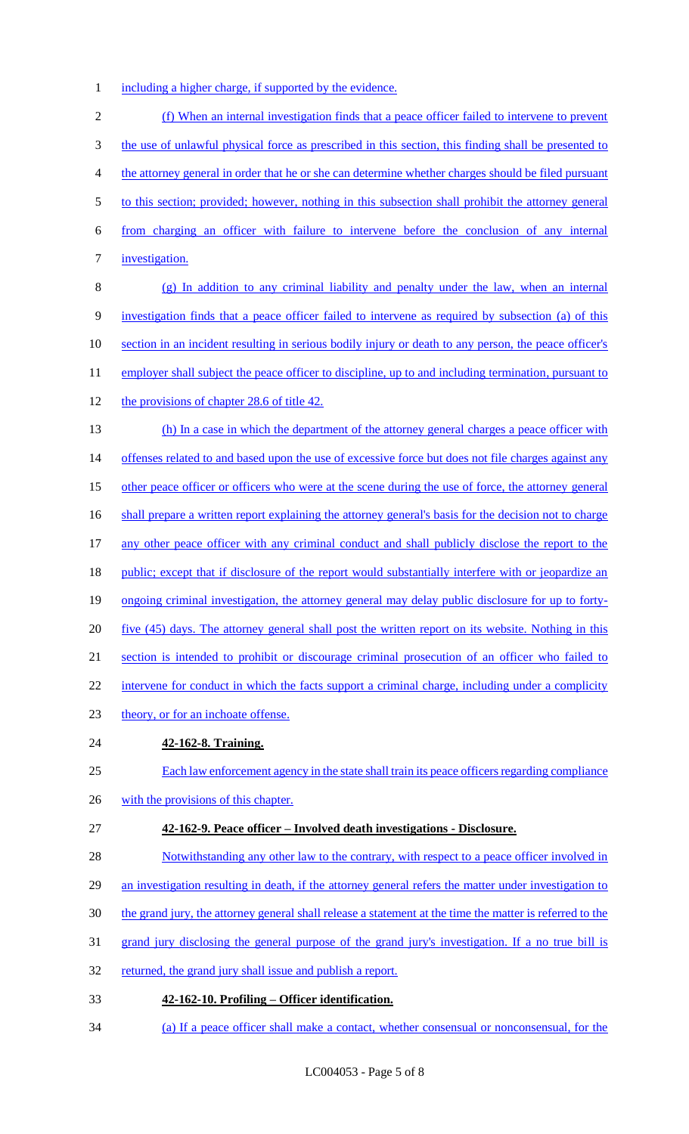1 including a higher charge, if supported by the evidence.

2 (f) When an internal investigation finds that a peace officer failed to intervene to prevent 3 the use of unlawful physical force as prescribed in this section, this finding shall be presented to 4 the attorney general in order that he or she can determine whether charges should be filed pursuant 5 to this section; provided; however, nothing in this subsection shall prohibit the attorney general 6 from charging an officer with failure to intervene before the conclusion of any internal 7 <u>investigation.</u> 8 (g) In addition to any criminal liability and penalty under the law, when an internal 9 investigation finds that a peace officer failed to intervene as required by subsection (a) of this 10 section in an incident resulting in serious bodily injury or death to any person, the peace officer's 11 employer shall subject the peace officer to discipline, up to and including termination, pursuant to 12 the provisions of chapter 28.6 of title 42. 13 (h) In a case in which the department of the attorney general charges a peace officer with 14 offenses related to and based upon the use of excessive force but does not file charges against any 15 other peace officer or officers who were at the scene during the use of force, the attorney general 16 shall prepare a written report explaining the attorney general's basis for the decision not to charge 17 any other peace officer with any criminal conduct and shall publicly disclose the report to the 18 public; except that if disclosure of the report would substantially interfere with or jeopardize an 19 ongoing criminal investigation, the attorney general may delay public disclosure for up to forty-20 five (45) days. The attorney general shall post the written report on its website. Nothing in this 21 section is intended to prohibit or discourage criminal prosecution of an officer who failed to 22 intervene for conduct in which the facts support a criminal charge, including under a complicity 23 theory, or for an inchoate offense. 24 **42-162-8. Training.**  25 Each law enforcement agency in the state shall train its peace officers regarding compliance 26 with the provisions of this chapter. 27 **42-162-9. Peace officer – Involved death investigations - Disclosure.**  28 Notwithstanding any other law to the contrary, with respect to a peace officer involved in 29 an investigation resulting in death, if the attorney general refers the matter under investigation to 30 the grand jury, the attorney general shall release a statement at the time the matter is referred to the 31 grand jury disclosing the general purpose of the grand jury's investigation. If a no true bill is 32 returned, the grand jury shall issue and publish a report.

- 33 **42-162-10. Profiling – Officer identification.**
- 34 (a) If a peace officer shall make a contact, whether consensual or nonconsensual, for the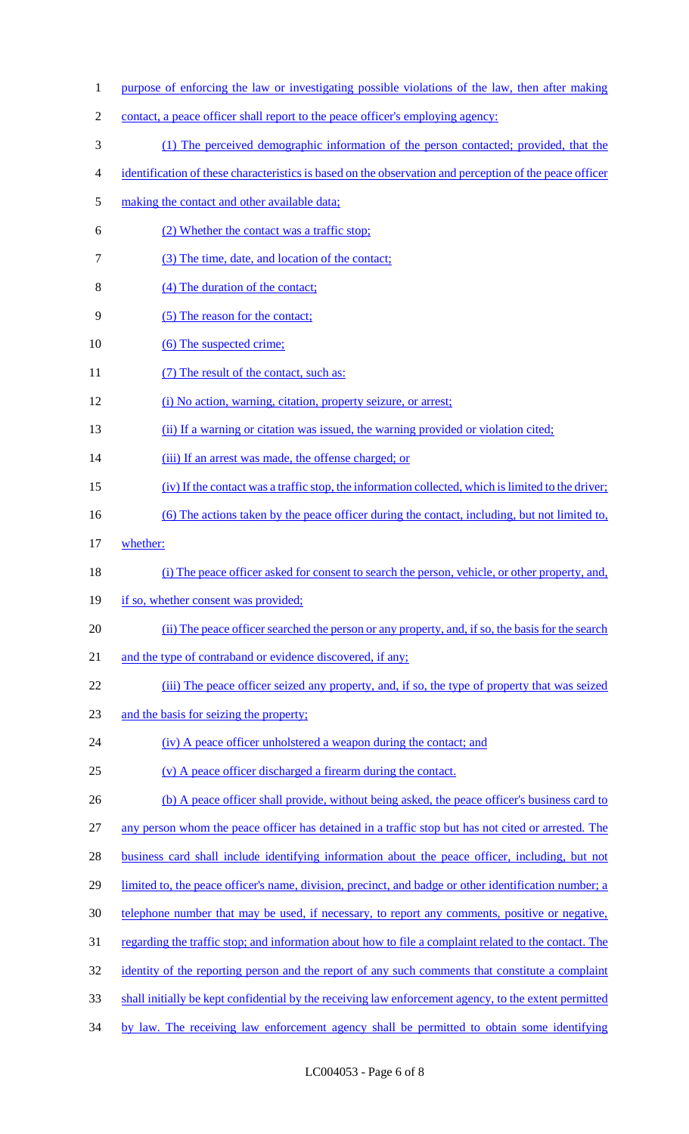| $\mathbf{1}$   | purpose of enforcing the law or investigating possible violations of the law, then after making         |
|----------------|---------------------------------------------------------------------------------------------------------|
| $\overline{2}$ | contact, a peace officer shall report to the peace officer's employing agency:                          |
| 3              | (1) The perceived demographic information of the person contacted; provided, that the                   |
| 4              | identification of these characteristics is based on the observation and perception of the peace officer |
| 5              | making the contact and other available data;                                                            |
| 6              | (2) Whether the contact was a traffic stop;                                                             |
| 7              | (3) The time, date, and location of the contact;                                                        |
| 8              | (4) The duration of the contact;                                                                        |
| 9              | (5) The reason for the contact;                                                                         |
| 10             | (6) The suspected crime;                                                                                |
| 11             | (7) The result of the contact, such as:                                                                 |
| 12             | (i) No action, warning, citation, property seizure, or arrest;                                          |
| 13             | (ii) If a warning or citation was issued, the warning provided or violation cited;                      |
| 14             | (iii) If an arrest was made, the offense charged; or                                                    |
| 15             | (iv) If the contact was a traffic stop, the information collected, which is limited to the driver;      |
| 16             | (6) The actions taken by the peace officer during the contact, including, but not limited to,           |
| 17             | whether:                                                                                                |
| 18             | (i) The peace officer asked for consent to search the person, vehicle, or other property, and,          |
| 19             | if so, whether consent was provided;                                                                    |
| 20             | (ii) The peace officer searched the person or any property, and, if so, the basis for the search        |
| 21             | and the type of contraband or evidence discovered, if any;                                              |
| 22             | (iii) The peace officer seized any property, and, if so, the type of property that was seized           |
| 23             | and the basis for seizing the property;                                                                 |
| 24             | (iv) A peace officer unholstered a weapon during the contact; and                                       |
| 25             | (v) A peace officer discharged a firearm during the contact.                                            |
| 26             | (b) A peace officer shall provide, without being asked, the peace officer's business card to            |
| 27             | any person whom the peace officer has detained in a traffic stop but has not cited or arrested. The     |
| 28             | business card shall include identifying information about the peace officer, including, but not         |
| 29             | limited to, the peace officer's name, division, precinct, and badge or other identification number; a   |
| 30             | telephone number that may be used, if necessary, to report any comments, positive or negative,          |
| 31             | regarding the traffic stop; and information about how to file a complaint related to the contact. The   |
| 32             | identity of the reporting person and the report of any such comments that constitute a complaint        |
| 33             | shall initially be kept confidential by the receiving law enforcement agency, to the extent permitted   |
| 34             | by law. The receiving law enforcement agency shall be permitted to obtain some identifying              |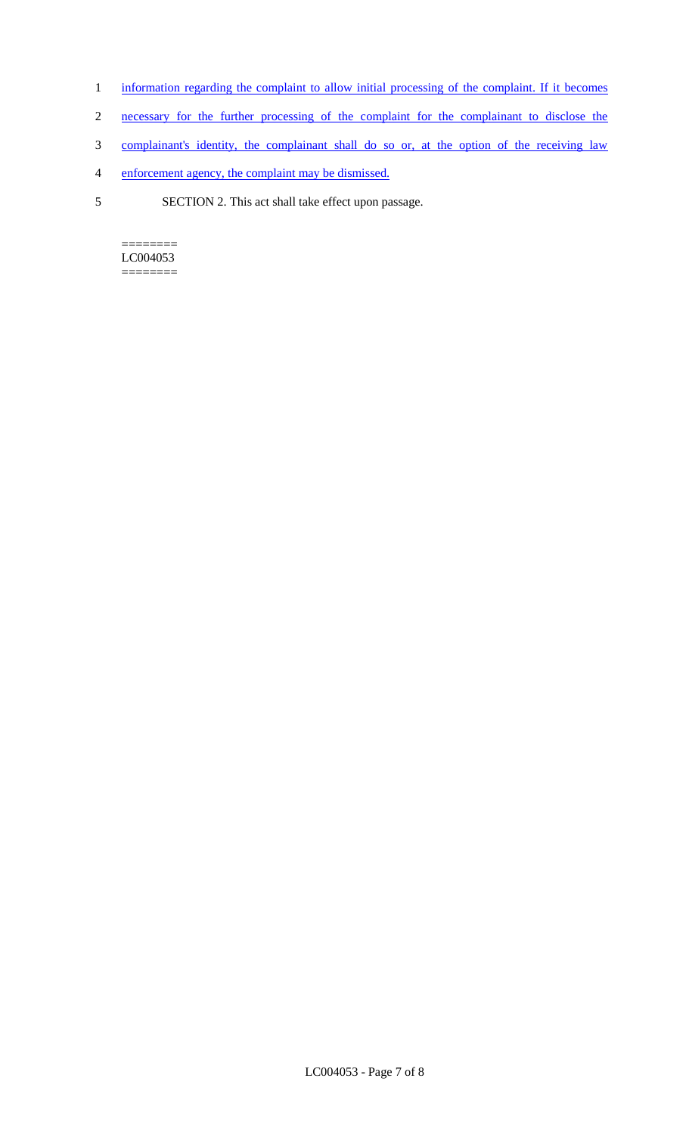- 1 information regarding the complaint to allow initial processing of the complaint. If it becomes
- 2 necessary for the further processing of the complaint for the complainant to disclose the
- 3 complainant's identity, the complainant shall do so or, at the option of the receiving law
- 4 enforcement agency, the complaint may be dismissed.
- 5 SECTION 2. This act shall take effect upon passage.

======== LC004053 ========